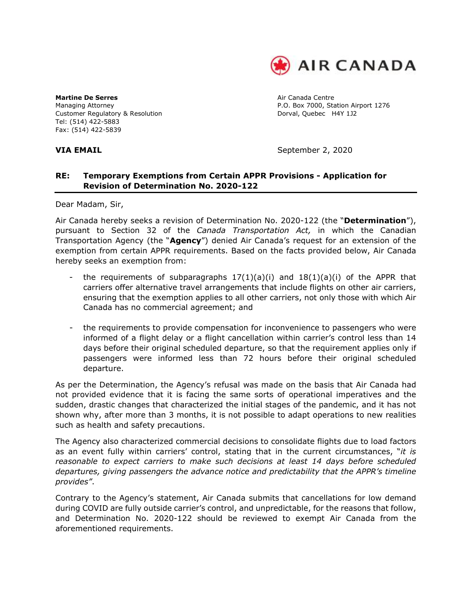

**Martine De Serres Air Canada Centre** Air Canada Centre Customer Regulatory & Resolution **Dorval, Quebec H4Y 1J2** Tel: (514) 422-5883 Fax: (514) 422-5839

Managing Attorney **P.O. Box 7000, Station Airport 1276** 

**VIA EMAIL** September 2, 2020

### **RE: Temporary Exemptions from Certain APPR Provisions - Application for Revision of Determination No. 2020-122**

Dear Madam, Sir,

Air Canada hereby seeks a revision of Determination No. 2020-122 (the "**Determination**"), pursuant to Section 32 of the *Canada Transportation Act,* in which the Canadian Transportation Agency (the "**Agency**") denied Air Canada's request for an extension of the exemption from certain APPR requirements. Based on the facts provided below, Air Canada hereby seeks an exemption from:

- the requirements of subparagraphs  $17(1)(a)(i)$  and  $18(1)(a)(i)$  of the APPR that carriers offer alternative travel arrangements that include flights on other air carriers, ensuring that the exemption applies to all other carriers, not only those with which Air Canada has no commercial agreement; and
- the requirements to provide compensation for inconvenience to passengers who were informed of a flight delay or a flight cancellation within carrier's control less than 14 days before their original scheduled departure, so that the requirement applies only if passengers were informed less than 72 hours before their original scheduled departure.

As per the Determination, the Agency's refusal was made on the basis that Air Canada had not provided evidence that it is facing the same sorts of operational imperatives and the sudden, drastic changes that characterized the initial stages of the pandemic, and it has not shown why, after more than 3 months, it is not possible to adapt operations to new realities such as health and safety precautions.

The Agency also characterized commercial decisions to consolidate flights due to load factors as an event fully within carriers' control, stating that in the current circumstances, "*it is reasonable to expect carriers to make such decisions at least 14 days before scheduled departures, giving passengers the advance notice and predictability that the APPR's timeline provides"*.

Contrary to the Agency's statement, Air Canada submits that cancellations for low demand during COVID are fully outside carrier's control, and unpredictable, for the reasons that follow, and Determination No. 2020-122 should be reviewed to exempt Air Canada from the aforementioned requirements.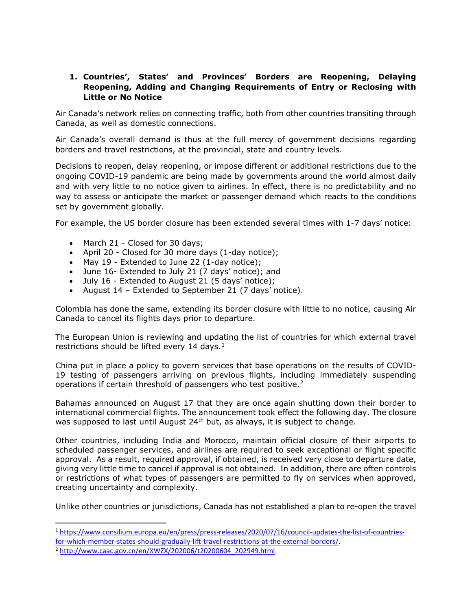#### **1. Countries', States' and Provinces' Borders are Reopening, Delaying Reopening, Adding and Changing Requirements of Entry or Reclosing with Little or No Notice**

Air Canada's network relies on connecting traffic, both from other countries transiting through Canada, as well as domestic connections.

Air Canada's overall demand is thus at the full mercy of government decisions regarding borders and travel restrictions, at the provincial, state and country levels.

Decisions to reopen, delay reopening, or impose different or additional restrictions due to the ongoing COVID-19 pandemic are being made by governments around the world almost daily and with very little to no notice given to airlines. In effect, there is no predictability and no way to assess or anticipate the market or passenger demand which reacts to the conditions set by government globally.

For example, the US border closure has been extended several times with 1-7 days' notice:

- March 21 Closed for 30 days;
- April 20 Closed for 30 more days (1-day notice);
- May 19 Extended to June 22 (1-day notice);
- June 16- Extended to July 21 (7 days' notice); and
- July 16 Extended to August 21 (5 days' notice);
- August 14 Extended to September 21 (7 days' notice).

Colombia has done the same, extending its border closure with little to no notice, causing Air Canada to cancel its flights days prior to departure.

The European Union is reviewing and updating the list of countries for which external travel restrictions should be lifted every [1](#page-1-0)4 days. $1$ 

China put in place a policy to govern services that base operations on the results of COVID-19 testing of passengers arriving on previous flights, including immediately suspending operations if certain threshold of passengers who test positive.<sup>2</sup>

Bahamas announced on August 17 that they are once again shutting down their border to international commercial flights. The announcement took effect the following day. The closure was supposed to last until August 24<sup>th</sup> but, as always, it is subject to change.

Other countries, including India and Morocco, maintain official closure of their airports to scheduled passenger services, and airlines are required to seek exceptional or flight specific approval. As a result, required approval, if obtained, is received very close to departure date, giving very little time to cancel if approval is not obtained. In addition, there are often controls or restrictions of what types of passengers are permitted to fly on services when approved, creating uncertainty and complexity.

Unlike other countries or jurisdictions, Canada has not established a plan to re-open the travel

<span id="page-1-0"></span><sup>1</sup> [https://www.consilium.europa.eu/en/press/press-releases/2020/07/16/council-updates-the-list-of-countries](https://www.consilium.europa.eu/en/press/press-releases/2020/07/16/council-updates-the-list-of-countries-for-which-member-states-should-gradually-lift-travel-restrictions-at-the-external-borders/)[for-which-member-states-should-gradually-lift-travel-restrictions-at-the-external-borders/.](https://www.consilium.europa.eu/en/press/press-releases/2020/07/16/council-updates-the-list-of-countries-for-which-member-states-should-gradually-lift-travel-restrictions-at-the-external-borders/) 2 [http://www.caac.gov.cn/en/XWZX/202006/t20200604\\_202949.html](http://www.caac.gov.cn/en/XWZX/202006/t20200604_202949.html)

<span id="page-1-1"></span>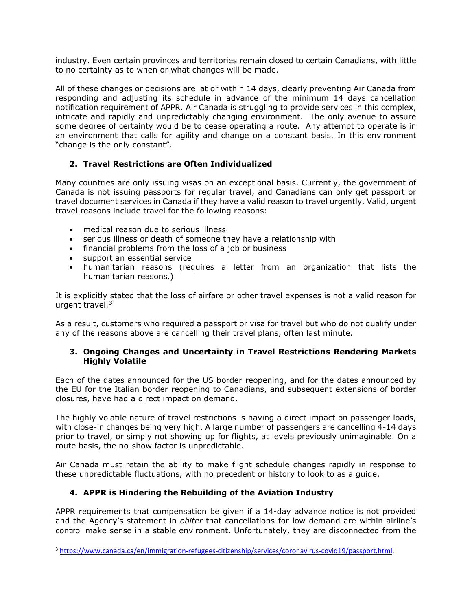industry. Even certain provinces and territories remain closed to certain Canadians, with little to no certainty as to when or what changes will be made.

All of these changes or decisions are at or within 14 days, clearly preventing Air Canada from responding and adjusting its schedule in advance of the minimum 14 days cancellation notification requirement of APPR. Air Canada is struggling to provide services in this complex, intricate and rapidly and unpredictably changing environment. The only avenue to assure some degree of certainty would be to cease operating a route. Any attempt to operate is in an environment that calls for agility and change on a constant basis. In this environment "change is the only constant".

### **2. Travel Restrictions are Often Individualized**

Many countries are only issuing visas on an exceptional basis. Currently, the government of Canada is not issuing passports for regular travel, and Canadians can only get passport or travel document services in Canada if they have a valid reason to travel urgently. Valid, urgent travel reasons include travel for the following reasons:

- medical reason due to serious illness
- serious illness or death of someone they have a relationship with
- financial problems from the loss of a job or business
- support an essential service
- humanitarian reasons (requires a letter from an organization that lists the humanitarian reasons.)

It is explicitly stated that the loss of airfare or other travel expenses is not a valid reason for urgent travel.[3](#page-2-0)

As a result, customers who required a passport or visa for travel but who do not qualify under any of the reasons above are cancelling their travel plans, often last minute.

#### **3. Ongoing Changes and Uncertainty in Travel Restrictions Rendering Markets Highly Volatile**

Each of the dates announced for the US border reopening, and for the dates announced by the EU for the Italian border reopening to Canadians, and subsequent extensions of border closures, have had a direct impact on demand.

The highly volatile nature of travel restrictions is having a direct impact on passenger loads, with close-in changes being very high. A large number of passengers are cancelling 4-14 days prior to travel, or simply not showing up for flights, at levels previously unimaginable. On a route basis, the no-show factor is unpredictable.

Air Canada must retain the ability to make flight schedule changes rapidly in response to these unpredictable fluctuations, with no precedent or history to look to as a guide.

### **4. APPR is Hindering the Rebuilding of the Aviation Industry**

APPR requirements that compensation be given if a 14-day advance notice is not provided and the Agency's statement in *obiter* that cancellations for low demand are within airline's control make sense in a stable environment. Unfortunately, they are disconnected from the

<span id="page-2-0"></span><sup>3</sup> [https://www.canada.ca/en/immigration-refugees-citizenship/services/coronavirus-covid19/passport.html.](https://www.canada.ca/en/immigration-refugees-citizenship/services/coronavirus-covid19/passport.html)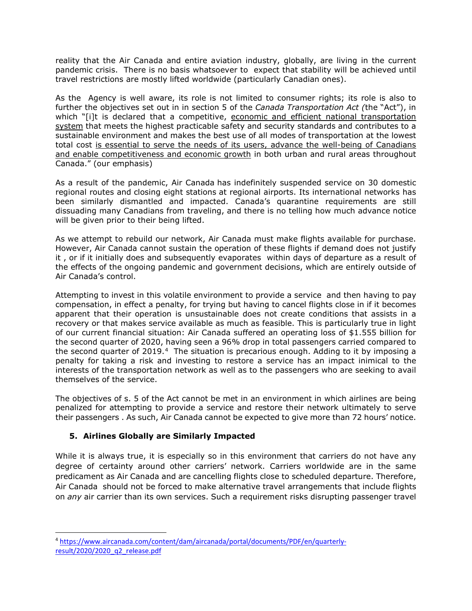reality that the Air Canada and entire aviation industry, globally, are living in the current pandemic crisis. There is no basis whatsoever to expect that stability will be achieved until travel restrictions are mostly lifted worldwide (particularly Canadian ones).

As the Agency is well aware, its role is not limited to consumer rights; its role is also to further the objectives set out in in section 5 of the *Canada Transportation Act (*the "Act"), in which "[i]t is declared that a competitive, economic and efficient national transportation system that meets the highest practicable safety and security standards and contributes to a sustainable environment and makes the best use of all modes of transportation at the lowest total cost is essential to serve the needs of its users, advance the well-being of Canadians and enable competitiveness and economic growth in both urban and rural areas throughout Canada." (our emphasis)

As a result of the pandemic, Air Canada has indefinitely suspended service on 30 domestic regional routes and closing eight stations at regional airports. Its international networks has been similarly dismantled and impacted. Canada's quarantine requirements are still dissuading many Canadians from traveling, and there is no telling how much advance notice will be given prior to their being lifted.

As we attempt to rebuild our network, Air Canada must make flights available for purchase. However, Air Canada cannot sustain the operation of these flights if demand does not justify it , or if it initially does and subsequently evaporates within days of departure as a result of the effects of the ongoing pandemic and government decisions, which are entirely outside of Air Canada's control.

Attempting to invest in this volatile environment to provide a service and then having to pay compensation, in effect a penalty, for trying but having to cancel flights close in if it becomes apparent that their operation is unsustainable does not create conditions that assists in a recovery or that makes service available as much as feasible. This is particularly true in light of our current financial situation: Air Canada suffered an operating loss of \$1.555 billion for the second quarter of 2020, having seen a 96% drop in total passengers carried compared to the second quarter of 2019. $4$  The situation is precarious enough. Adding to it by imposing a penalty for taking a risk and investing to restore a service has an impact inimical to the interests of the transportation network as well as to the passengers who are seeking to avail themselves of the service.

The objectives of s. 5 of the Act cannot be met in an environment in which airlines are being penalized for attempting to provide a service and restore their network ultimately to serve their passengers . As such, Air Canada cannot be expected to give more than 72 hours' notice.

## **5. Airlines Globally are Similarly Impacted**

While it is always true, it is especially so in this environment that carriers do not have any degree of certainty around other carriers' network. Carriers worldwide are in the same predicament as Air Canada and are cancelling flights close to scheduled departure. Therefore, Air Canada should not be forced to make alternative travel arrangements that include flights on *any* air carrier than its own services. Such a requirement risks disrupting passenger travel

<span id="page-3-0"></span><sup>4</sup> [https://www.aircanada.com/content/dam/aircanada/portal/documents/PDF/en/quarterly](https://www.aircanada.com/content/dam/aircanada/portal/documents/PDF/en/quarterly-result/2020/2020_q2_release.pdf)[result/2020/2020\\_q2\\_release.pdf](https://www.aircanada.com/content/dam/aircanada/portal/documents/PDF/en/quarterly-result/2020/2020_q2_release.pdf)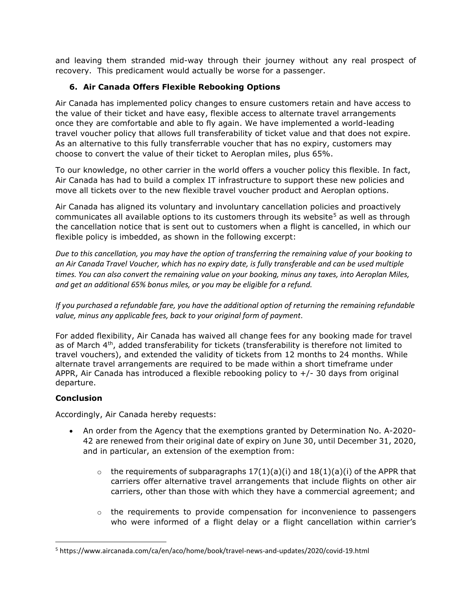and leaving them stranded mid-way through their journey without any real prospect of recovery. This predicament would actually be worse for a passenger.

# **6. Air Canada Offers Flexible Rebooking Options**

Air Canada has implemented policy changes to ensure customers retain and have access to the value of their ticket and have easy, flexible access to alternate travel arrangements once they are comfortable and able to fly again. We have implemented a world-leading travel voucher policy that allows full transferability of ticket value and that does not expire. As an alternative to this fully transferrable voucher that has no expiry, customers may choose to convert the value of their ticket to Aeroplan miles, plus 65%.

To our knowledge, no other carrier in the world offers a voucher policy this flexible. In fact, Air Canada has had to build a complex IT infrastructure to support these new policies and move all tickets over to the new flexible travel voucher product and Aeroplan options.

Air Canada has aligned its voluntary and involuntary cancellation policies and proactively communicates all available options to its customers through its website<sup>[5](#page-4-0)</sup> as well as through the cancellation notice that is sent out to customers when a flight is cancelled, in which our flexible policy is imbedded, as shown in the following excerpt:

*Due to this cancellation, you may have the option of transferring the remaining value of your booking to an Air Canada Travel Voucher, which has no expiry date, is fully transferable and can be used multiple times. You can also convert the remaining value on your booking, minus any taxes, into Aeroplan Miles, and get an additional 65% bonus miles, or you may be eligible for a refund.*

*If you purchased a refundable fare, you have the additional option of returning the remaining refundable value, minus any applicable fees, back to your original form of payment*.

For added flexibility, Air Canada has waived all change fees for any booking made for travel as of March 4<sup>th</sup>, added transferability for tickets (transferability is therefore not limited to travel vouchers), and extended the validity of tickets from 12 months to 24 months. While alternate travel arrangements are required to be made within a short timeframe under APPR, Air Canada has introduced a flexible rebooking policy to  $+/-$  30 days from original departure.

## **Conclusion**

Accordingly, Air Canada hereby requests:

- An order from the Agency that the exemptions granted by Determination No. [A-2020-](https://otc-cta.gc.ca/eng/ruling/a-2020-42) [42](https://otc-cta.gc.ca/eng/ruling/a-2020-42) are renewed from their original date of expiry on June 30, until December 31, 2020, and in particular, an extension of the exemption from:
	- $\circ$  the requirements of subparagraphs 17(1)(a)(i) and 18(1)(a)(i) of the APPR that carriers offer alternative travel arrangements that include flights on other air carriers, other than those with which they have a commercial agreement; and
	- $\circ$  the requirements to provide compensation for inconvenience to passengers who were informed of a flight delay or a flight cancellation within carrier's

<span id="page-4-0"></span><sup>5</sup> https://www.aircanada.com/ca/en/aco/home/book/travel-news-and-updates/2020/covid-19.html